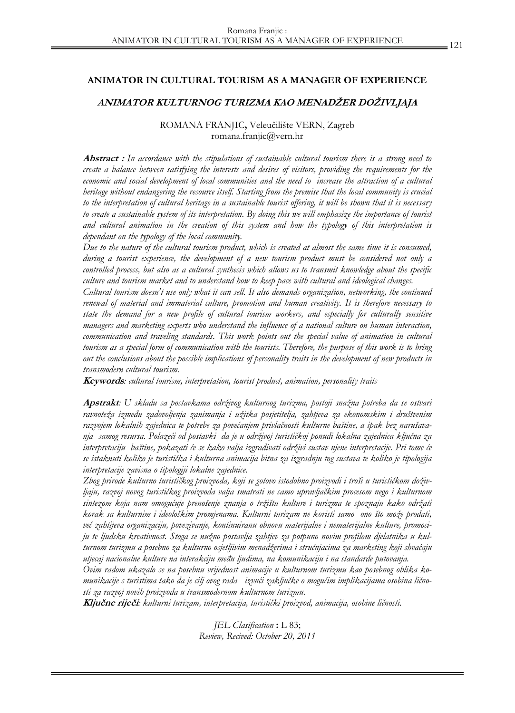### **ANIMATOR IN CULTURAL TOURISM AS A MANAGER OF EXPERIENCE**

## **ANIMATOR KULTURNOG TURIZMA KAO MENADŽER DOŽIVLJAJA**

# ROMANA FRANJIC**,** Veleučilište VERN, Zagreb romana.franjic@vern.hr

**Abstract :** *In accordance with the stipulations of sustainable cultural tourism there is a strong need to create a balance between satisfying the interests and desires of visitors, providing the requirements for the economic and social development of local communities and the need to increase the attraction of a cultural heritage without endangering the resource itself. Starting from the premise that the local community is crucial to the interpretation of cultural heritage in a sustainable tourist offering, it will be shown that it is necessary*  to create a sustainable system of its interpretation. By doing this we will emphasize the importance of tourist *and cultural animation in the creation of this system and how the typology of this interpretation is dependant on the typology of the local community.* 

*Due to the nature of the cultural tourism product, which is created at almost the same time it is consumed, during a tourist experience, the development of a new tourism product must be considered not only a controlled process, but also as a cultural synthesis which allows us to transmit knowledge about the specific culture and tourism market and to understand how to keep pace with cultural and ideological changes.* 

*Cultural tourism doesn't use only what it can sell. It also demands organization, networking, the continued renewal of material and immaterial culture, promotion and human creativity. It is therefore necessary to state the demand for a new profile of cultural tourism workers, and especially for culturally sensitive managers and marketing experts who understand the influence of a national culture on human interaction, communication and traveling standards. This work points out the special value of animation in cultural tourism as a special form of communication with the tourists. Therefore, the purpose of this work is to bring out the conclusions about the possible implications of personality traits in the development of new products in transmodern cultural tourism.* 

**Keywords***: cultural tourism, interpretation, tourist product, animation, personality traits* 

**Apstrakt***: U skladu sa postavkama održivog kulturnog turizma, postoji snažna potreba da se ostvari ravnoteža između zadovoljenja zanimanja i užitka posjetitelja, zahtjeva za ekonomskim i društvenim razvojem lokalnih zajednica te potrebe za povećanjem privlačnosti kulturne baštine, a ipak bez narušavanja samog resursa. Polazeći od postavki da je u održivoj turističkoj ponudi lokalna zajednica ključna za interpretaciju baštine, pokazati će se kako valja izgrađivati održivi sustav njene interpretacije. Pri tome će se istaknuti koliko je turistička i kulturna animacija bitna za izgradnju tog sustava te koliko je tipologija interpretacije zavisna o tipologiji lokalne zajednice.* 

*Zbog prirode kulturno turističkog proizvoda, koji se gotovo istodobno proizvodi i troši u turističkom doživljaju, razvoj novog turističkog proizvoda valja smatrati ne samo upravljačkim procesom nego i kulturnom sintezom koja nam omogućuje prenošenje znanja o tržištu kulture i turizma te spoznaju kako održati korak sa kulturnim i ideološkim promjenama. Kulturni turizam ne koristi samo ono što može prodati, već zahtijeva organizaciju, povezivanje, kontinuiranu obnovu materijalne i nematerijalne kulture, promociju te ljudsku kreativnost. Stoga se nužno postavlja zahtjev za potpuno novim profilom djelatnika u kulturnom turizmu a posebno za kulturno osjetljivim menadžerima i stručnjacima za marketing koji shvaćaju utjecaj nacionalne kulture na interakciju među ljudima, na komunikaciju i na standarde putovanja.* 

*Ovim radom ukazalo se na posebnu vrijednost animacije u kulturnom turizmu kao posebnog oblika komunikacije s turistima tako da je cilj ovog rada izvući zaključke o mogućim implikacijama osobina ličnosti za razvoj novih proizvoda u transmodernom kulturnom turizmu.* 

**Ključne riječ<sup>i</sup>***: kulturni turizam, interpretacija, turistički proizvod, animacija, osobine ličnosti.* 

*JEL Clasification* **:** L 83; *Review, Recived: October 20, 2011*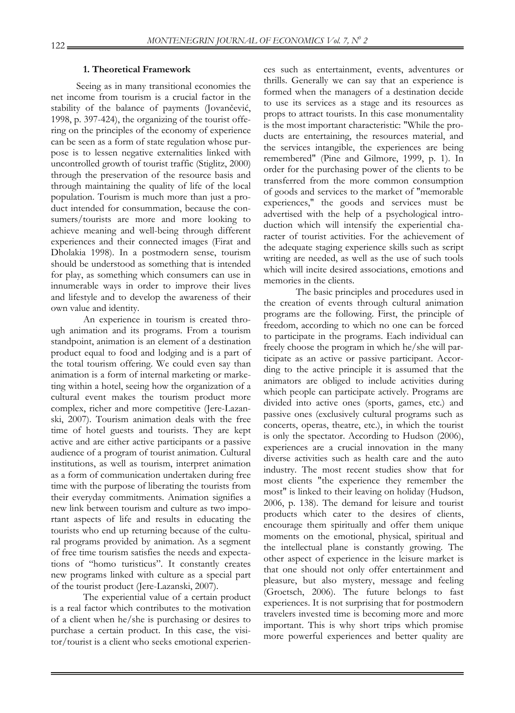## **1. Theoretical Framework**

Seeing as in many transitional economies the net income from tourism is a crucial factor in the stability of the balance of payments (Jovančević, 1998, p. 397-424), the organizing of the tourist offering on the principles of the economy of experience can be seen as a form of state regulation whose purpose is to lessen negative externalities linked with uncontrolled growth of tourist traffic (Stiglitz, 2000) through the preservation of the resource basis and through maintaining the quality of life of the local population. Tourism is much more than just a product intended for consummation, because the consumers/tourists are more and more looking to achieve meaning and well-being through different experiences and their connected images (Firat and Dholakia 1998). In a postmodern sense, tourism should be understood as something that is intended for play, as something which consumers can use in innumerable ways in order to improve their lives and lifestyle and to develop the awareness of their own value and identity.

An experience in tourism is created through animation and its programs. From a tourism standpoint, animation is an element of a destination product equal to food and lodging and is a part of the total tourism offering. We could even say than animation is a form of internal marketing or marketing within a hotel, seeing how the organization of a cultural event makes the tourism product more complex, richer and more competitive (Jere-Lazanski, 2007). Tourism animation deals with the free time of hotel guests and tourists. They are kept active and are either active participants or a passive audience of a program of tourist animation. Cultural institutions, as well as tourism, interpret animation as a form of communication undertaken during free time with the purpose of liberating the tourists from their everyday commitments. Animation signifies a new link between tourism and culture as two important aspects of life and results in educating the tourists who end up returning because of the cultural programs provided by animation. As a segment of free time tourism satisfies the needs and expectations of "homo turisticus". It constantly creates new programs linked with culture as a special part of the tourist product (Jere-Lazanski, 2007).

The experiential value of a certain product is a real factor which contributes to the motivation of a client when he/she is purchasing or desires to purchase a certain product. In this case, the visitor/tourist is a client who seeks emotional experiences such as entertainment, events, adventures or thrills. Generally we can say that an experience is formed when the managers of a destination decide to use its services as a stage and its resources as props to attract tourists. In this case monumentality is the most important characteristic: "While the products are entertaining, the resources material, and the services intangible, the experiences are being remembered" (Pine and Gilmore, 1999, p. 1). In order for the purchasing power of the clients to be transferred from the more common consumption of goods and services to the market of "memorable experiences," the goods and services must be advertised with the help of a psychological introduction which will intensify the experiential character of tourist activities. For the achievement of the adequate staging experience skills such as script writing are needed, as well as the use of such tools which will incite desired associations, emotions and memories in the clients.

The basic principles and procedures used in the creation of events through cultural animation programs are the following. First, the principle of freedom, according to which no one can be forced to participate in the programs. Each individual can freely choose the program in which he/she will participate as an active or passive participant. According to the active principle it is assumed that the animators are obliged to include activities during which people can participate actively. Programs are divided into active ones (sports, games, etc.) and passive ones (exclusively cultural programs such as concerts, operas, theatre, etc.), in which the tourist is only the spectator. According to Hudson (2006), experiences are a crucial innovation in the many diverse activities such as health care and the auto industry. The most recent studies show that for most clients "the experience they remember the most" is linked to their leaving on holiday (Hudson, 2006, p. 138). The demand for leisure and tourist products which cater to the desires of clients, encourage them spiritually and offer them unique moments on the emotional, physical, spiritual and the intellectual plane is constantly growing. The other aspect of experience in the leisure market is that one should not only offer entertainment and pleasure, but also mystery, message and feeling (Groetsch, 2006). The future belongs to fast experiences. It is not surprising that for postmodern travelers invested time is becoming more and more important. This is why short trips which promise more powerful experiences and better quality are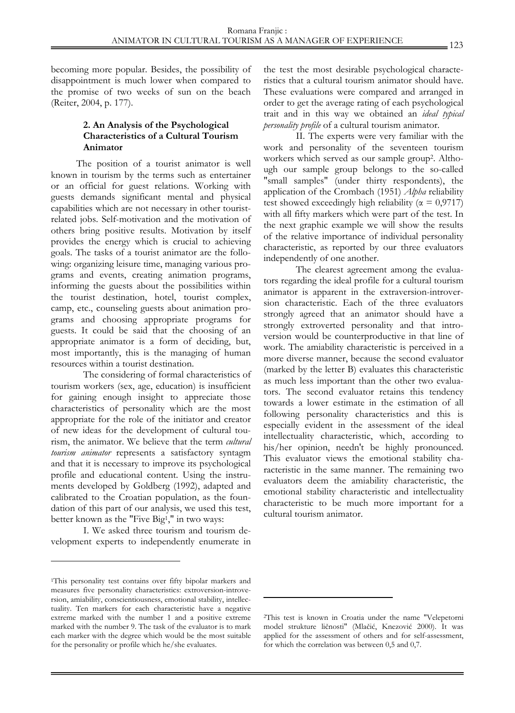becoming more popular. Besides, the possibility of disappointment is much lower when compared to the promise of two weeks of sun on the beach (Reiter, 2004, p. 177).

# **2. An Analysis of the Psychological Characteristics of a Cultural Tourism Animator**

The position of a tourist animator is well known in tourism by the terms such as entertainer or an official for guest relations. Working with guests demands significant mental and physical capabilities which are not necessary in other touristrelated jobs. Self-motivation and the motivation of others bring positive results. Motivation by itself provides the energy which is crucial to achieving goals. The tasks of a tourist animator are the following: organizing leisure time, managing various programs and events, creating animation programs, informing the guests about the possibilities within the tourist destination, hotel, tourist complex, camp, etc., counseling guests about animation programs and choosing appropriate programs for guests. It could be said that the choosing of an appropriate animator is a form of deciding, but, most importantly, this is the managing of human resources within a tourist destination.

The considering of formal characteristics of tourism workers (sex, age, education) is insufficient for gaining enough insight to appreciate those characteristics of personality which are the most appropriate for the role of the initiator and creator of new ideas for the development of cultural tourism, the animator. We believe that the term *cultural tourism animator* represents a satisfactory syntagm and that it is necessary to improve its psychological profile and educational content. Using the instruments developed by Goldberg (1992), adapted and calibrated to the Croatian population, as the foundation of this part of our analysis, we used this test, better known as the "Five Big1," in two ways:

I. We asked three tourism and tourism development experts to independently enumerate in

1

the test the most desirable psychological characteristics that a cultural tourism animator should have. These evaluations were compared and arranged in order to get the average rating of each psychological trait and in this way we obtained an *ideal typical personality profile* of a cultural tourism animator.

II. The experts were very familiar with the work and personality of the seventeen tourism workers which served as our sample group2. Although our sample group belongs to the so-called "small samples" (under thirty respondents), the application of the Crombach (1951) *Alpha* reliability test showed exceedingly high reliability ( $\alpha = 0.9717$ ) with all fifty markers which were part of the test. In the next graphic example we will show the results of the relative importance of individual personality characteristic, as reported by our three evaluators independently of one another.

The clearest agreement among the evaluators regarding the ideal profile for a cultural tourism animator is apparent in the extraversion-introversion characteristic. Each of the three evaluators strongly agreed that an animator should have a strongly extroverted personality and that introversion would be counterproductive in that line of work. The amiability characteristic is perceived in a more diverse manner, because the second evaluator (marked by the letter B) evaluates this characteristic as much less important than the other two evaluators. The second evaluator retains this tendency towards a lower estimate in the estimation of all following personality characteristics and this is especially evident in the assessment of the ideal intellectuality characteristic, which, according to his/her opinion, needn't be highly pronounced. This evaluator views the emotional stability characteristic in the same manner. The remaining two evaluators deem the amiability characteristic, the emotional stability characteristic and intellectuality characteristic to be much more important for a cultural tourism animator.

1

<sup>&</sup>lt;sup>1</sup>This personality test contains over fifty bipolar markers and measures five personality characteristics: extroversion-introversion, amiability, conscientiousness, emotional stability, intellectuality. Ten markers for each characteristic have a negative extreme marked with the number 1 and a positive extreme marked with the number 9. The task of the evaluator is to mark each marker with the degree which would be the most suitable for the personality or profile which he/she evaluates.

<sup>2</sup>This test is known in Croatia under the name "Velepetorni model strukture ličnosti" (Mlačić, Knezović 2000). It was applied for the assessment of others and for self-assessment, for which the correlation was between 0,5 and 0,7.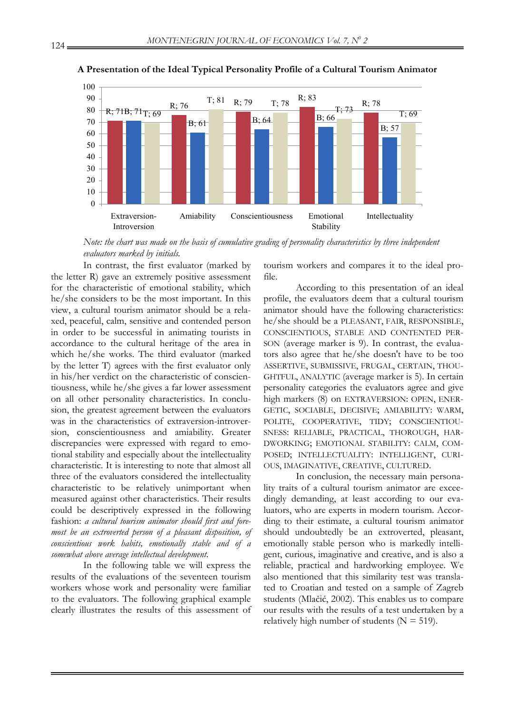

# **A Presentation of the Ideal Typical Personality Profile of a Cultural Tourism Animator**

 *Note: the chart was made on the basis of cumulative grading of personality characteristics by three independent evaluators marked by initials.* 

In contrast, the first evaluator (marked by the letter R) gave an extremely positive assessment for the characteristic of emotional stability, which he/she considers to be the most important. In this view, a cultural tourism animator should be a relaxed, peaceful, calm, sensitive and contended person in order to be successful in animating tourists in accordance to the cultural heritage of the area in which he/she works. The third evaluator (marked by the letter T) agrees with the first evaluator only in his/her verdict on the characteristic of conscientiousness, while he/she gives a far lower assessment on all other personality characteristics. In conclusion, the greatest agreement between the evaluators was in the characteristics of extraversion-introversion, conscientiousness and amiability. Greater discrepancies were expressed with regard to emotional stability and especially about the intellectuality characteristic. It is interesting to note that almost all three of the evaluators considered the intellectuality characteristic to be relatively unimportant when measured against other characteristics. Their results could be descriptively expressed in the following fashion: *a cultural tourism animator should first and foremost be an extroverted person of a pleasant disposition, of conscientious work habits, emotionally stable and of a somewhat above average intellectual development.* 

In the following table we will express the results of the evaluations of the seventeen tourism workers whose work and personality were familiar to the evaluators. The following graphical example clearly illustrates the results of this assessment of tourism workers and compares it to the ideal profile.

According to this presentation of an ideal profile, the evaluators deem that a cultural tourism animator should have the following characteristics: he/she should be a PLEASANT, FAIR, RESPONSIBLE, CONSCIENTIOUS, STABLE AND CONTENTED PER-SON (average marker is 9). In contrast, the evaluators also agree that he/she doesn't have to be too ASSERTIVE, SUBMISSIVE, FRUGAL, CERTAIN, THOU-GHTFUL, ANALYTIC (average marker is 5). In certain personality categories the evaluators agree and give high markers (8) on EXTRAVERSION: OPEN, ENER-GETIC, SOCIABLE, DECISIVE; AMIABILITY: WARM, POLITE, COOPERATIVE, TIDY; CONSCIENTIOU-SNESS: RELIABLE, PRACTICAL, THOROUGH, HAR-DWORKING; EMOTIONAL STABILITY: CALM, COM-POSED; INTELLECTUALITY: INTELLIGENT, CURI-OUS, IMAGINATIVE, CREATIVE, CULTURED.

In conclusion, the necessary main personality traits of a cultural tourism animator are exceedingly demanding, at least according to our evaluators, who are experts in modern tourism. According to their estimate, a cultural tourism animator should undoubtedly be an extroverted, pleasant, emotionally stable person who is markedly intelligent, curious, imaginative and creative, and is also a reliable, practical and hardworking employee. We also mentioned that this similarity test was translated to Croatian and tested on a sample of Zagreb students (Mlačić, 2002). This enables us to compare our results with the results of a test undertaken by a relatively high number of students ( $N = 519$ ).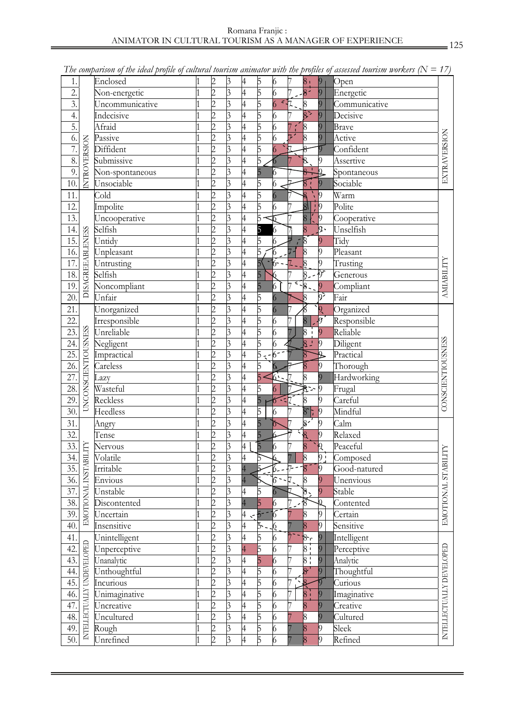| 1.                |                            | Enclosed        | $\overline{c}$ | 3 | 4              | 5                          | 6                |                    | 8 <sub>1</sub>                         | $ 9\rangle$               | Open                        |                          |  |
|-------------------|----------------------------|-----------------|----------------|---|----------------|----------------------------|------------------|--------------------|----------------------------------------|---------------------------|-----------------------------|--------------------------|--|
| 2.                |                            | Non-energetic   | $\overline{2}$ | 3 | 4              | 5                          | 6                |                    | $\overline{8}$                         | $ 9\rangle$               | Energetic                   |                          |  |
| 3.                |                            | Uncommunicative | $\overline{2}$ | 3 | 4              | 5                          | $\overline{6}$   | $-7.$              | $\overline{8}$                         | $\overline{9}$            | Communicative               |                          |  |
| 4.                |                            | Indecisive      | $\overline{2}$ | 3 | 4              | 5                          | 6                | 7                  | $8$ $\overline{\phantom{1}}$           | 9                         | Decisive                    |                          |  |
| 5.                |                            | Afraid          | $\overline{2}$ | 3 | 4              | 5                          | $\overline{6}$   |                    | $\overline{\mathcal{8}}$               | $\overline{9}$            | Brave                       |                          |  |
| 6.                |                            | Passive         | $\overline{2}$ | 3 | 4              | 5                          | 6                | $\overline{\ }$    | $\vert 8 \vert$                        | $\overline{9}$            | Active                      | EXTRAVERSION             |  |
| 7.                | <b>INTROVERSION</b>        | Diffident       | $\overline{2}$ | 3 | 4              | 5                          | 6                |                    | $\delta$                               | $\overline{9}$            | Confident                   |                          |  |
| 8.                |                            | Submissive      | $\overline{c}$ | 3 | 4              | 5                          | $\sigma$         | $\overline{7}$     | $\overline{\mathcal{8}}$               | 9                         | Assertive                   |                          |  |
| 9.                |                            | Non-spontaneous | $\overline{c}$ | 3 | 4              | 5                          | 6                |                    | $\mathbf{I}$<br>$\overline{\vartheta}$ | $\frac{1}{2}$             | Spontaneous                 |                          |  |
| $\overline{10}$ . |                            | Unsociable      | $\overline{c}$ | 3 | 4              | 5                          | 6                |                    | $\overline{\mathcal{S}}$ !             | $\vert 9 \vert$           | Sociable                    |                          |  |
| 11.               |                            | Cold            | $\overline{2}$ | 3 | 4              | $\overline{5}$             | $\boldsymbol{6}$ | 7                  |                                        | $ 9\rangle$               | Warm                        |                          |  |
| 12.               |                            | Impolite        | $\overline{c}$ | 3 | $\overline{4}$ | $\overline{5}$             | 6                | 7                  | $\frac{8}{8}$                          | $\frac{1}{2}$             | Polite                      |                          |  |
| 13.               |                            | Uncooperative   | $\overline{2}$ | 3 | $\overline{4}$ | 5                          | ℡                | 7                  | $\overline{\mathbf{8}}$                | $ 9\rangle$               | Cooperative                 |                          |  |
| 14.               |                            | Selfish         | $\overline{c}$ | 3 | $\overline{4}$ | 5                          | $\overline{6}$   |                    | $\overline{8}$                         | þ.                        | Unselfish                   |                          |  |
| 15.               |                            | Untidy          | $\overline{c}$ | 3 | $\overline{4}$ | 5                          | $\overline{6}$   | 7<br>$\mathcal{L}$ | 8                                      | $\overline{9}$            | Tidy                        |                          |  |
| 16.               |                            | Unpleasant      | $\overline{c}$ | 3 | 4              | 5                          | $6\leq$          | $7 -$              | $\vert 8 \vert$                        | $\overline{9}$            | Pleasant                    |                          |  |
| 17.               |                            | Untrusting      | $\overline{c}$ | 3 | $\overline{4}$ |                            | 6--              | $\overline{7}$ .   | $\frac{1}{8}$                          | $\overline{9}$            | Trusting                    |                          |  |
| $18.$             |                            | Selfish         | 2              | 3 | 4              | 5                          | 6                |                    | $8 - 9$                                |                           | Generous                    |                          |  |
| 19.               | <b>DISAGREEABLENESS</b>    | Noncompliant    | $\overline{c}$ | 3 | 4              | 5                          | $\overline{6}$   |                    | $\sqrt{-8.9}$                          |                           | Compliant                   | <b>AMIABILITY</b>        |  |
| 20.               |                            | Unfair          | $\overline{2}$ | 3 | 4              | 5                          | $\overline{6}$   |                    |                                        | $\overline{9}$            | $\overline{\text{Fair}}$    |                          |  |
| 21.               |                            | Unorganized     | $\overline{c}$ | 3 | 4              | 5                          | $\overline{6}$   | 7                  | $\frac{8}{8}$                          | $\overline{\mathfrak{g}}$ | Organized                   |                          |  |
| 22.               |                            | Irresponsible   | $\overline{2}$ | 3 | 4              | 5                          | 6                | 7                  | $\overline{8}$                         | $\sqrt{g}$                | Responsible                 |                          |  |
| 23.               |                            | Unreliable      | $\overline{2}$ | 3 | 4              | 5                          | $\overline{6}$   | $\overline{7}$     | $\overline{8}$                         | $\overline{9}$            | Reliable                    |                          |  |
| 24.               | <b>UNCONSCIENTIOUSNESS</b> | Negligent       | $\overline{2}$ | 3 | 4              | 5                          | 6                |                    | $\blacksquare$<br>$8-$                 | $\vert$                   |                             |                          |  |
| 25.               |                            |                 |                |   |                |                            |                  |                    |                                        |                           | Diligent<br>Practical       | CONSCIENTIOUSNESS        |  |
|                   |                            | Impractical     | $\overline{c}$ | 3 | $\overline{4}$ | 5<br>$\tilde{\mathcal{L}}$ | 6-               |                    | $\overline{8}$                         | b                         |                             |                          |  |
| 26.               |                            | Careless        | 2              | 3 | 4              | 5                          | 6<br>6.          |                    | $\overline{8}$                         | $\beta$                   | Thorough                    |                          |  |
| 27.               |                            | Lazy            | $\overline{c}$ | 3 | 4              |                            |                  |                    | $\overline{8}$                         | $\overline{9}$            | Hardworking                 |                          |  |
| 28.               |                            | Wasteful        | 2              | 3 | 4              | 5                          | 6                | 7.                 | ₹'~ り                                  |                           | Frugal                      |                          |  |
| 29.               |                            | Reckless        | $\overline{2}$ | 3 | 4              | 5                          | $6 - 7$          |                    | $\,8\,$                                | 9                         | Careful                     |                          |  |
| 30.               |                            | Heedless        | $\overline{c}$ | 3 | $\overline{4}$ | $\overline{5}$             | 6                | $\overline{7}$     | 8:                                     | $ 9\rangle$               | Mindful                     |                          |  |
| 31.               |                            | Angry           | $\overline{c}$ | 3 | $\overline{4}$ | $\overline{5}$             | $\triangledown$  | 7                  | 8'                                     | $\sqrt{9}$                | Calm                        |                          |  |
| 32.               |                            | Tense           | $\overline{2}$ | 3 | $\overline{4}$ | 5                          |                  | 7                  | $\overline{\mathbf{g}}$                | $\vert$ <sub>9</sub>      | Relaxed                     |                          |  |
| 33.               |                            | Nervous         | $\overline{c}$ | 3 | $\overline{4}$ | $\overline{5}$             | 6                | 7                  | $\overline{8}$                         | $\cdot \rho$              | Peaceful                    |                          |  |
| 34.               |                            | Volatile        | $\overline{c}$ | 3 | 4              | 5                          | 6                | $\overline{7}$     | $\vert 8 \vert$                        | 9:                        | Composed                    | <b>TABILITY</b>          |  |
| 35.               | <b>ISTABILITY</b>          | Irritable       | $\overline{c}$ | 3 |                |                            | $-6 - 7 - 8$     |                    |                                        | $ 9\rangle$               | Good-natured                |                          |  |
| 36.               | Ĕ                          | <b>Envious</b>  |                | Ć | $\overline{4}$ |                            | O                |                    | 8                                      | 9                         | Unenvious                   |                          |  |
| 37.               |                            | Unstable        | $\overline{c}$ | 3 | 4              | 5                          |                  | 7                  | 8,                                     | 9                         | Stable                      |                          |  |
| 38.               |                            | Discontented    | $\overline{c}$ | 3 | $\overline{4}$ | 5                          | 6                |                    | $\delta$                               |                           | Contented                   |                          |  |
| 39.               | <b>EMOTIONAL</b>           | Uncertain       | $\overline{c}$ | 3 | 4              | $\overline{5}$             | 6                |                    | 8                                      | 9                         | Certain                     | EMOTIONAL <sub>S</sub>   |  |
| 40.               |                            | Insensitive     | $\overline{2}$ | 3 | 4              | Б.                         | $\overline{6}$   |                    | 8                                      | 9                         | Sensitive                   |                          |  |
| 41.               |                            | Unintelligent   | $\overline{c}$ | 3 | $\overline{4}$ | 5                          | 6                |                    | 8r                                     | $\overline{9}$            | Intelligent                 |                          |  |
| 42.               |                            | Unperceptive    | $\overline{c}$ | 3 | $\overline{4}$ | 5                          | 6                |                    | 8 i                                    | $\overline{9}$            | Perceptive                  |                          |  |
| 43.               |                            | Unanalytic      | 2              | 3 | 4              | 5                          | 6                |                    | 8 <sub>1</sub>                         | $\overline{9}$            | Analytic                    |                          |  |
| 44.               | INTELLECTUALLY UNDEVELOPED | Unthoughtful    | 2              | 3 | 4              | 5                          | 6                |                    | $\overline{8}$                         | $\vert 9$                 | Thoughtful                  |                          |  |
| 45.               |                            | Incurious       | $\overline{2}$ | 3 | 4              | 5                          | 6                |                    |                                        |                           | $\overline{\text{Curious}}$ | INTELLECTUALLY DEVELOPED |  |
| 46.               |                            | Unimaginative   | $\overline{2}$ | 3 | 4              | 5                          | 6                |                    | $\overline{8}$                         |                           | Imaginative                 |                          |  |
| 47.               |                            | Uncreative      | $\overline{2}$ | 3 | 4              | 5                          | 6                |                    | 8                                      | $\overline{9}$            | Creative                    |                          |  |
| 48.               |                            | Uncultured      | $\overline{2}$ | 3 | $\overline{4}$ | 5                          | 6                |                    | 8                                      | $\overline{Q}$            | Cultured                    |                          |  |
| 49.               |                            | Rough           | $\overline{c}$ | 3 | 4              | 5                          | 6                |                    | 8                                      | 19                        | Sleek                       |                          |  |
| 50.               |                            | Unrefined       | $\overline{2}$ | 3 | 4              | 5                          | 6                |                    | 8                                      | 9                         | Refined                     |                          |  |
|                   |                            |                 |                |   |                |                            |                  |                    |                                        |                           |                             |                          |  |

The comparison of the ideal profile of cultural tourism animator with the profiles of assessed tourism workers  $(N = 17)$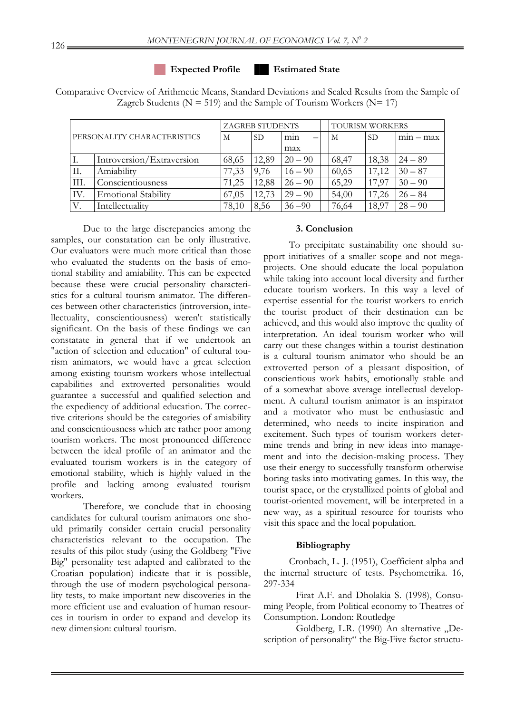#### **Expected Profile Estimated State**

Comparative Overview of Arithmetic Means, Standard Deviations and Scaled Results from the Sample of Zagreb Students ( $N = 519$ ) and the Sample of Tourism Workers ( $N = 17$ )

| PERSONALITY CHARACTERISTICS |                            |       | <b>ZAGREB STUDENTS</b> |           | TOURISM WORKERS |           |            |  |
|-----------------------------|----------------------------|-------|------------------------|-----------|-----------------|-----------|------------|--|
|                             |                            | М     | SD.                    | min<br>-  | M               | <b>SD</b> | $mn - max$ |  |
|                             |                            |       |                        | max       |                 |           |            |  |
| 1.                          | Introversion/Extraversion  | 68,65 | 12,89                  | $20 - 90$ | 68,47           | 18,38     | $24 - 89$  |  |
| II.                         | Amiability                 | 77,33 | 9.76                   | $16 - 90$ | 60,65           | 17,12     | $30 - 87$  |  |
| III.                        | Conscientiousness          | 71.25 | 12,88                  | $26 - 90$ | 65,29           | 17.97     | $30 - 90$  |  |
| IV.                         | <b>Emotional Stability</b> | 67.05 | 12,73                  | $29 - 90$ | 54,00           | 17,26     | $26 - 84$  |  |
| V.                          | Intellectuality            | 78,10 | 8.56                   | $36 - 90$ | 76,64           | 18,97     | $28 - 90$  |  |

Due to the large discrepancies among the samples, our constatation can be only illustrative. Our evaluators were much more critical than those who evaluated the students on the basis of emotional stability and amiability. This can be expected because these were crucial personality characteristics for a cultural tourism animator. The differences between other characteristics (introversion, intellectuality, conscientiousness) weren't statistically significant. On the basis of these findings we can constatate in general that if we undertook an "action of selection and education" of cultural tourism animators, we would have a great selection among existing tourism workers whose intellectual capabilities and extroverted personalities would guarantee a successful and qualified selection and the expediency of additional education. The corrective criterions should be the categories of amiability and conscientiousness which are rather poor among tourism workers. The most pronounced difference between the ideal profile of an animator and the evaluated tourism workers is in the category of emotional stability, which is highly valued in the profile and lacking among evaluated tourism workers.

Therefore, we conclude that in choosing candidates for cultural tourism animators one should primarily consider certain crucial personality characteristics relevant to the occupation. The results of this pilot study (using the Goldberg "Five Big" personality test adapted and calibrated to the Croatian population) indicate that it is possible, through the use of modern psychological personality tests, to make important new discoveries in the more efficient use and evaluation of human resources in tourism in order to expand and develop its new dimension: cultural tourism.

# **3. Conclusion**

To precipitate sustainability one should support initiatives of a smaller scope and not megaprojects. One should educate the local population while taking into account local diversity and further educate tourism workers. In this way a level of expertise essential for the tourist workers to enrich the tourist product of their destination can be achieved, and this would also improve the quality of interpretation. An ideal tourism worker who will carry out these changes within a tourist destination is a cultural tourism animator who should be an extroverted person of a pleasant disposition, of conscientious work habits, emotionally stable and of a somewhat above average intellectual development. A cultural tourism animator is an inspirator and a motivator who must be enthusiastic and determined, who needs to incite inspiration and excitement. Such types of tourism workers determine trends and bring in new ideas into management and into the decision-making process. They use their energy to successfully transform otherwise boring tasks into motivating games. In this way, the tourist space, or the crystallized points of global and tourist-oriented movement, will be interpreted in a new way, as a spiritual resource for tourists who visit this space and the local population.

#### **Bibliography**

Cronbach, L. J. (1951), Coefficient alpha and the internal structure of tests. Psychometrika. 16, 297-334

Firat A.F. and Dholakia S. (1998), Consuming People, from Political economy to Theatres of Consumption. London: Routledge

Goldberg, L.R. (1990) An alternative "Description of personality" the Big-Five factor structu